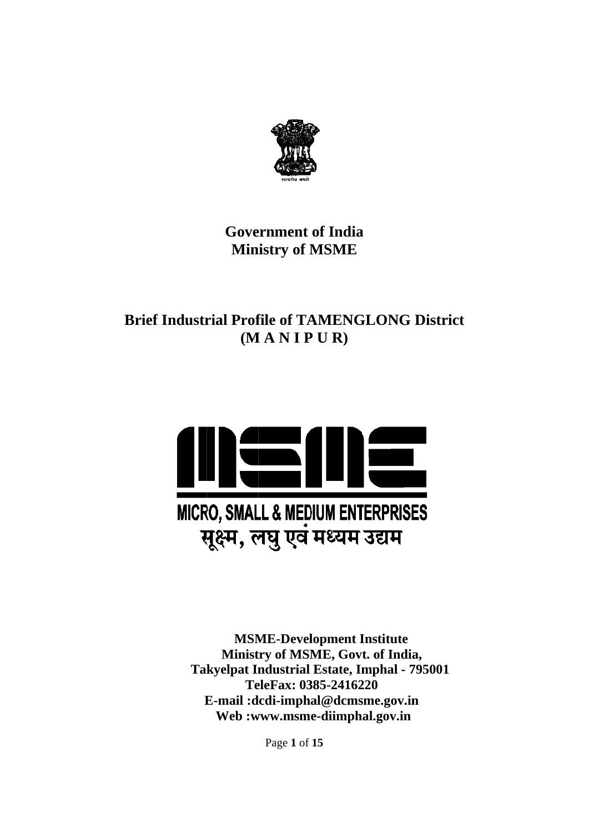

# **Gove ernment of India Min istry of M MSME**

# **Brief Industrial Profile of TAMENGLONG District (M M A N I P P U R)**



**Takyelpat Industrial Estate, Imphal - 795001**  $\bf{E}\text{-mail :}dcdi\text{-impl}a1@dcmsme.gov.in$  **MSM ME-Devel lopment I Institute Ministry of MSME, Govt. of India, Te eleFax: 03 385-24162 220 Web :w www.msm e-diimph al.gov.in**

Page **1** of **15**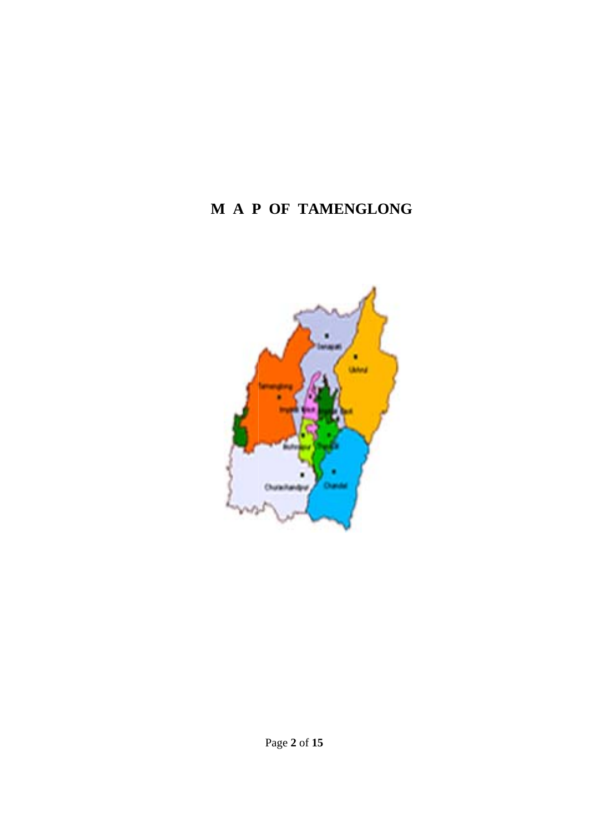# **M A P P OF TA AMENGLONG**

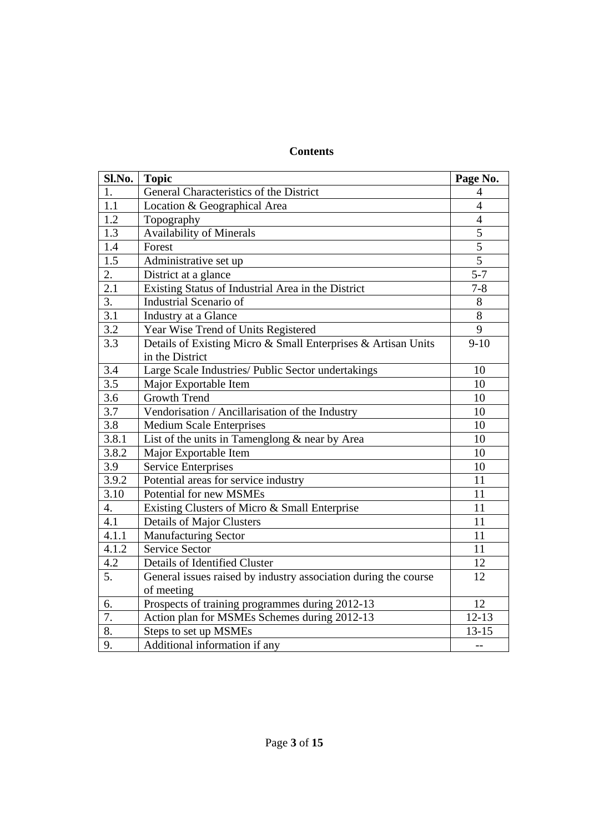# **Contents**

| Sl.No.           | <b>Topic</b>                                                    | Page No.       |
|------------------|-----------------------------------------------------------------|----------------|
| 1.               | General Characteristics of the District                         | 4              |
| 1.1              | Location & Geographical Area                                    | $\overline{4}$ |
| 1.2              | Topography                                                      | $\overline{4}$ |
| 1.3              | <b>Availability of Minerals</b>                                 | 5              |
| 1.4              | Forest                                                          | $\overline{5}$ |
| 1.5              | Administrative set up                                           | $\overline{5}$ |
| 2.               | District at a glance                                            | $5 - 7$        |
| 2.1              | Existing Status of Industrial Area in the District              | $7 - 8$        |
| 3.               | <b>Industrial Scenario of</b>                                   | 8              |
| 3.1              | Industry at a Glance                                            | 8              |
| $\overline{3.2}$ | Year Wise Trend of Units Registered                             | 9              |
| 3.3              | Details of Existing Micro & Small Enterprises & Artisan Units   | $9 - 10$       |
|                  | in the District                                                 |                |
| 3.4              | Large Scale Industries/ Public Sector undertakings              | 10             |
| 3.5              | Major Exportable Item                                           | 10             |
| 3.6              | <b>Growth Trend</b>                                             | 10             |
| 3.7              | Vendorisation / Ancillarisation of the Industry                 | 10             |
| 3.8              | <b>Medium Scale Enterprises</b>                                 | 10             |
| 3.8.1            | List of the units in Tamenglong & near by Area                  | 10             |
| 3.8.2            | Major Exportable Item                                           | 10             |
| 3.9              | <b>Service Enterprises</b>                                      | 10             |
| 3.9.2            | Potential areas for service industry                            | 11             |
| 3.10             | Potential for new MSMEs                                         | 11             |
| 4.               | Existing Clusters of Micro & Small Enterprise                   | 11             |
| 4.1              | <b>Details of Major Clusters</b>                                | 11             |
| 4.1.1            | <b>Manufacturing Sector</b>                                     | 11             |
| 4.1.2            | <b>Service Sector</b>                                           | 11             |
| 4.2              | Details of Identified Cluster                                   | 12             |
| 5.               | General issues raised by industry association during the course | 12             |
|                  | of meeting                                                      |                |
| 6.               | Prospects of training programmes during 2012-13                 | 12             |
| 7.               | Action plan for MSMEs Schemes during 2012-13                    | $12 - 13$      |
| 8.               | Steps to set up MSMEs                                           | $13 - 15$      |
| 9.               | Additional information if any                                   | $\overline{a}$ |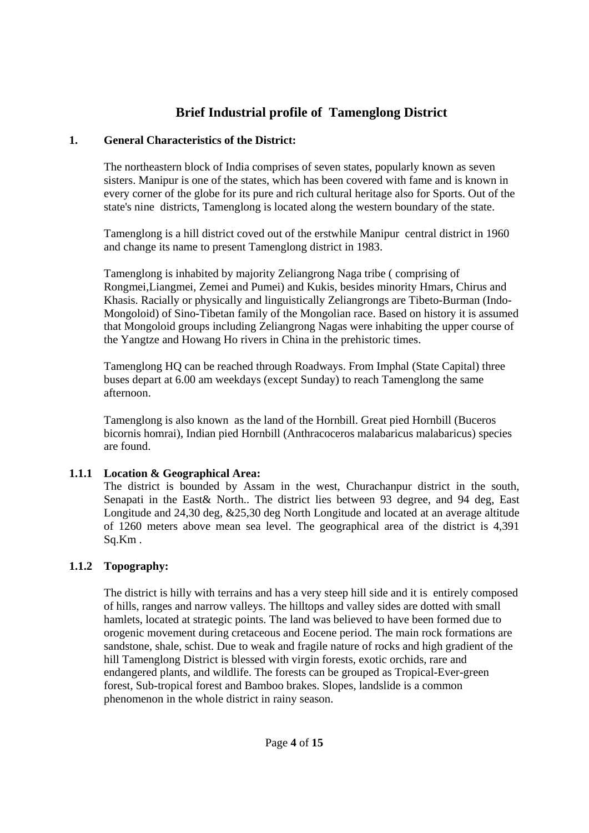# **Brief Industrial profile of Tamenglong District**

#### **1. General Characteristics of the District:**

The northeastern block of India comprises of seven states, popularly known as seven sisters. Manipur is one of the states, which has been covered with fame and is known in every corner of the globe for its pure and rich cultural heritage also for Sports. Out of the state's nine districts, Tamenglong is located along the western boundary of the state.

Tamenglong is a hill district coved out of the erstwhile Manipur central district in 1960 and change its name to present Tamenglong district in 1983.

Tamenglong is inhabited by majority Zeliangrong Naga tribe ( comprising of Rongmei,Liangmei, Zemei and Pumei) and Kukis, besides minority Hmars, Chirus and Khasis. Racially or physically and linguistically Zeliangrongs are Tibeto-Burman (Indo-Mongoloid) of Sino-Tibetan family of the Mongolian race. Based on history it is assumed that Mongoloid groups including Zeliangrong Nagas were inhabiting the upper course of the Yangtze and Howang Ho rivers in China in the prehistoric times.

Tamenglong HQ can be reached through Roadways. From Imphal (State Capital) three buses depart at 6.00 am weekdays (except Sunday) to reach Tamenglong the same afternoon.

Tamenglong is also known as the land of the Hornbill. Great pied Hornbill (Buceros bicornis homrai), Indian pied Hornbill (Anthracoceros malabaricus malabaricus) species are found.

# **1.1.1 Location & Geographical Area:**

The district is bounded by Assam in the west, Churachanpur district in the south, Senapati in the East& North.. The district lies between 93 degree, and 94 deg, East Longitude and 24,30 deg, &25,30 deg North Longitude and located at an average altitude of 1260 meters above mean sea level. The geographical area of the district is 4,391 Sq.Km .

# **1.1.2 Topography:**

The district is hilly with terrains and has a very steep hill side and it is entirely composed of hills, ranges and narrow valleys. The hilltops and valley sides are dotted with small hamlets, located at strategic points. The land was believed to have been formed due to orogenic movement during cretaceous and Eocene period. The main rock formations are sandstone, shale, schist. Due to weak and fragile nature of rocks and high gradient of the hill Tamenglong District is blessed with virgin forests, exotic orchids, rare and endangered plants, and wildlife. The forests can be grouped as Tropical-Ever-green forest, Sub-tropical forest and Bamboo brakes. Slopes, landslide is a common phenomenon in the whole district in rainy season.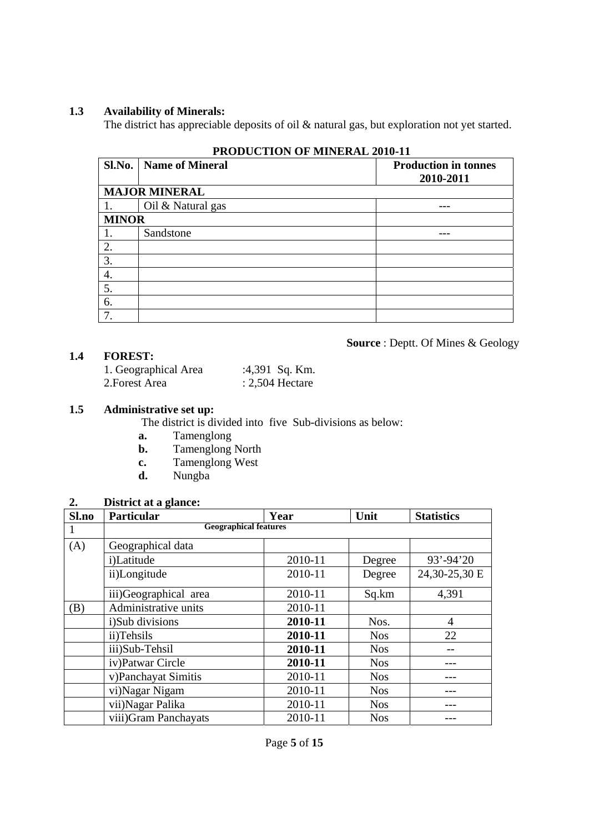#### **1.3 Availability of Minerals:**

The district has appreciable deposits of oil & natural gas, but exploration not yet started.

|              | I RODUCTION OF MINERAL 2010-11 |                                          |  |  |  |  |
|--------------|--------------------------------|------------------------------------------|--|--|--|--|
| Sl.No.       | <b>Name of Mineral</b>         | <b>Production in tonnes</b><br>2010-2011 |  |  |  |  |
|              | <b>MAJOR MINERAL</b>           |                                          |  |  |  |  |
| 1.           | Oil & Natural gas              |                                          |  |  |  |  |
| <b>MINOR</b> |                                |                                          |  |  |  |  |
| 1.           | Sandstone                      |                                          |  |  |  |  |
| 2.           |                                |                                          |  |  |  |  |
| 3.           |                                |                                          |  |  |  |  |
| 4.           |                                |                                          |  |  |  |  |
| 5.           |                                |                                          |  |  |  |  |
| 6.           |                                |                                          |  |  |  |  |
| 7.           |                                |                                          |  |  |  |  |

**Source** : Deptt. Of Mines & Geology

# **PRODUCTION OF MINERAL 2010-11**

#### **1.4 FOREST:**

| 1. Geographical Area | :4,391 Sq. Km.    |
|----------------------|-------------------|
| 2.Forest Area        | $: 2,504$ Hectare |

#### **1.5 Administrative set up:**

The district is divided into five Sub-divisions as below:

- **a.** Tamenglong
- **b.** Tamenglong North
- **c.** Tamenglong West
	- **d.** Nungba

#### **2. District at a glance:**

| Sl.no | <b>Particular</b>            | Year    | Unit       | <b>Statistics</b> |  |  |  |
|-------|------------------------------|---------|------------|-------------------|--|--|--|
|       | <b>Geographical features</b> |         |            |                   |  |  |  |
| (A)   | Geographical data            |         |            |                   |  |  |  |
|       | i)Latitude                   | 2010-11 | Degree     | $93' - 94'20$     |  |  |  |
|       | ii)Longitude                 | 2010-11 | Degree     | 24,30-25,30 E     |  |  |  |
|       | iii)Geographical area        | 2010-11 | Sq.km      | 4,391             |  |  |  |
| (B)   | Administrative units         | 2010-11 |            |                   |  |  |  |
|       | i)Sub divisions              | 2010-11 | Nos.       | 4                 |  |  |  |
|       | ii)Tehsils                   | 2010-11 | <b>Nos</b> | 22                |  |  |  |
|       | iii)Sub-Tehsil               | 2010-11 | <b>Nos</b> |                   |  |  |  |
|       | iv)Patwar Circle             | 2010-11 | <b>Nos</b> |                   |  |  |  |
|       | v)Panchayat Simitis          | 2010-11 | <b>Nos</b> |                   |  |  |  |
|       | vi)Nagar Nigam               | 2010-11 | <b>Nos</b> |                   |  |  |  |
|       | vii) Nagar Palika            | 2010-11 | <b>Nos</b> |                   |  |  |  |
|       | viii) Gram Panchayats        | 2010-11 | <b>Nos</b> |                   |  |  |  |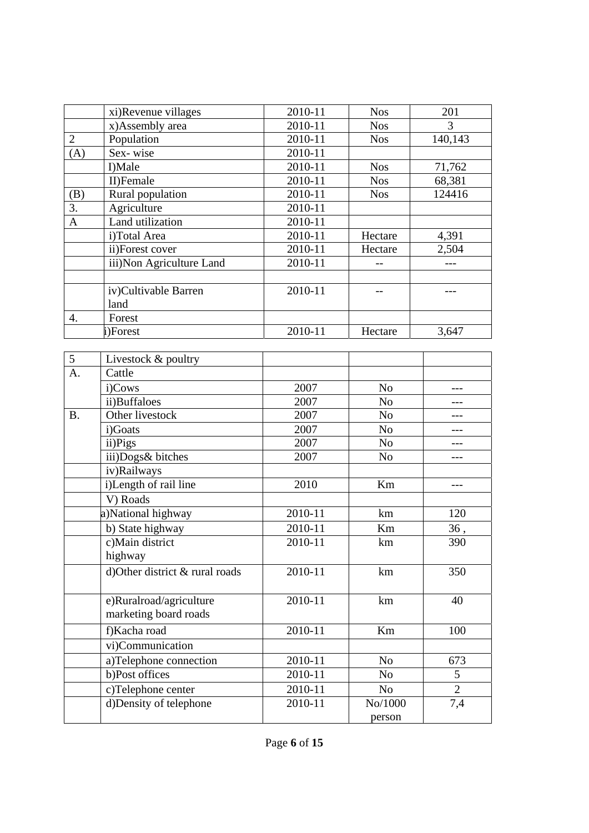|                | xi)Revenue villages      | 2010-11 | <b>Nos</b> | 201     |
|----------------|--------------------------|---------|------------|---------|
|                | x)Assembly area          | 2010-11 | <b>Nos</b> | 3       |
| $\overline{2}$ | Population               | 2010-11 | <b>Nos</b> | 140,143 |
| (A)            | Sex-wise                 | 2010-11 |            |         |
|                | I)Male                   | 2010-11 | <b>Nos</b> | 71,762  |
|                | II)Female                | 2010-11 | <b>Nos</b> | 68,381  |
| (B)            | Rural population         | 2010-11 | <b>Nos</b> | 124416  |
| 3.             | Agriculture              | 2010-11 |            |         |
| $\mathbf{A}$   | Land utilization         | 2010-11 |            |         |
|                | i)Total Area             | 2010-11 | Hectare    | 4,391   |
|                | ii)Forest cover          | 2010-11 | Hectare    | 2,504   |
|                | iii)Non Agriculture Land | 2010-11 |            |         |
|                |                          |         |            |         |
|                | iv)Cultivable Barren     | 2010-11 |            |         |
|                | land                     |         |            |         |
| 4.             | Forest                   |         |            |         |
|                | i)Forest                 | 2010-11 | Hectare    | 3,647   |

| 5         | Livestock & poultry            |         |                |                |
|-----------|--------------------------------|---------|----------------|----------------|
| A.        | Cattle                         |         |                |                |
|           | i)Cows                         | 2007    | N <sub>o</sub> | ---            |
|           | ii)Buffaloes                   | 2007    | N <sub>o</sub> |                |
| <b>B.</b> | Other livestock                | 2007    | N <sub>o</sub> |                |
|           | i)Goats                        | 2007    | N <sub>o</sub> |                |
|           | ii)Pigs                        | 2007    | N <sub>o</sub> |                |
|           | iii)Dogs& bitches              | 2007    | N <sub>o</sub> |                |
|           | iv)Railways                    |         |                |                |
|           | i)Length of rail line          | 2010    | Km             |                |
|           | V) Roads                       |         |                |                |
|           | a)National highway             | 2010-11 | km             | 120            |
|           | b) State highway               | 2010-11 | Km             | 36,            |
|           | c)Main district                | 2010-11 | km             | 390            |
|           | highway                        |         |                |                |
|           | d)Other district & rural roads | 2010-11 | km             | 350            |
|           |                                |         |                |                |
|           | e)Ruralroad/agriculture        | 2010-11 | km             | 40             |
|           | marketing board roads          |         |                |                |
|           | f)Kacha road                   | 2010-11 | Km             | 100            |
|           | vi)Communication               |         |                |                |
|           | a)Telephone connection         | 2010-11 | N <sub>o</sub> | 673            |
|           | b)Post offices                 | 2010-11 | N <sub>o</sub> | 5              |
|           | c)Telephone center             | 2010-11 | N <sub>o</sub> | $\overline{2}$ |
|           | d)Density of telephone         | 2010-11 | No/1000        | 7,4            |
|           |                                |         | person         |                |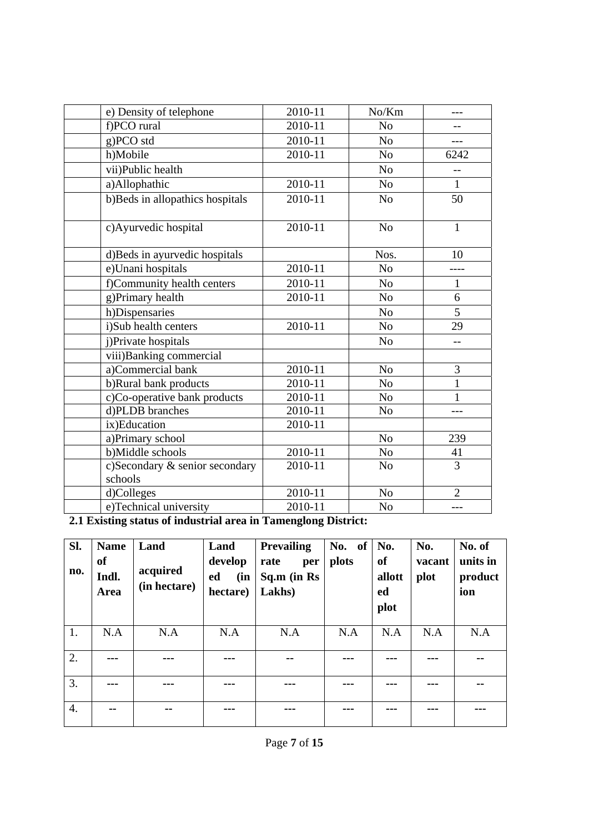| e) Density of telephone                   | 2010-11 | No/Km          |                |
|-------------------------------------------|---------|----------------|----------------|
| f)PCO rural                               | 2010-11 | N <sub>o</sub> |                |
| g)PCO std                                 | 2010-11 | N <sub>o</sub> |                |
| h)Mobile                                  | 2010-11 | N <sub>o</sub> | 6242           |
| vii)Public health                         |         | N <sub>o</sub> | $-$            |
| a)Allophathic                             | 2010-11 | N <sub>o</sub> | $\mathbf{1}$   |
| b)Beds in allopathics hospitals           | 2010-11 | N <sub>o</sub> | 50             |
| c) Ayurvedic hospital                     | 2010-11 | N <sub>o</sub> | $\mathbf{1}$   |
| d)Beds in ayurvedic hospitals             |         | Nos.           | 10             |
| e)Unani hospitals                         | 2010-11 | N <sub>o</sub> |                |
| f)Community health centers                | 2010-11 | N <sub>o</sub> | $\mathbf{1}$   |
| g)Primary health                          | 2010-11 | No             | 6              |
| h)Dispensaries                            |         | N <sub>o</sub> | 5              |
| i)Sub health centers                      | 2010-11 | N <sub>o</sub> | 29             |
| j)Private hospitals                       |         | N <sub>o</sub> | $\overline{a}$ |
| viii) Banking commercial                  |         |                |                |
| a)Commercial bank                         | 2010-11 | N <sub>o</sub> | 3              |
| b)Rural bank products                     | 2010-11 | No             | $\mathbf{1}$   |
| c)Co-operative bank products              | 2010-11 | N <sub>o</sub> | $\mathbf{1}$   |
| d)PLDB branches                           | 2010-11 | N <sub>o</sub> |                |
| ix)Education                              | 2010-11 |                |                |
| a)Primary school                          |         | N <sub>o</sub> | 239            |
| b)Middle schools                          | 2010-11 | No             | 41             |
| c)Secondary & senior secondary<br>schools | 2010-11 | N <sub>o</sub> | 3              |
| d)Colleges                                | 2010-11 | No             | $\overline{2}$ |
| e)Technical university                    | 2010-11 | No             | ---            |

**2.1 Existing status of industrial area in Tamenglong District:** 

| Sl.<br>no.       | <b>Name</b><br><b>of</b><br>Indl.<br>Area | Land<br>acquired<br>(in hectare) | Land<br>develop<br>(in<br>ed<br>hectare) | <b>Prevailing</b><br>rate<br>per<br>Sq.m (in Rs<br>Lakhs) | No.<br>of<br>plots | No.<br>of<br>allott<br>ed<br>plot | No.<br>vacant<br>plot | No. of<br>units in<br>product<br>ion |
|------------------|-------------------------------------------|----------------------------------|------------------------------------------|-----------------------------------------------------------|--------------------|-----------------------------------|-----------------------|--------------------------------------|
| 1.               | N.A                                       | N.A                              | N.A                                      | N.A                                                       | N.A                | N.A                               | N.A                   | N.A                                  |
| 2.               |                                           |                                  |                                          | --                                                        | ---                |                                   |                       | --                                   |
| 3.               |                                           | ---                              |                                          | ---                                                       |                    |                                   | ---                   | --                                   |
| $\overline{4}$ . | --                                        | --                               |                                          | ---                                                       |                    |                                   |                       |                                      |
| Page 7 of 15     |                                           |                                  |                                          |                                                           |                    |                                   |                       |                                      |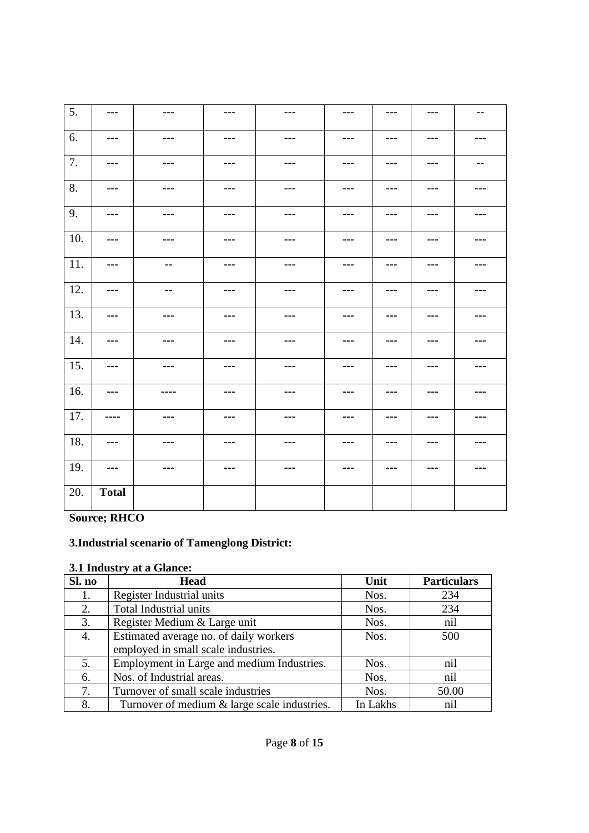| $\overline{5}$ . | $\sim$ $\sim$ $\sim$   | $\qquad \qquad \cdots$                                                                                                                                                                                                                                                                                                                                                                       | $\qquad \qquad \cdots$ | $\qquad \qquad \cdots$ | $--$    | $\sim$ $\sim$ $\sim$ | $- - -$ | $\sim$ $-$    |
|------------------|------------------------|----------------------------------------------------------------------------------------------------------------------------------------------------------------------------------------------------------------------------------------------------------------------------------------------------------------------------------------------------------------------------------------------|------------------------|------------------------|---------|----------------------|---------|---------------|
| 6.               | $\qquad \qquad \cdots$ | $\sim$ $\sim$ $\sim$                                                                                                                                                                                                                                                                                                                                                                         | $--$                   | $- - -$                | ---     | $- - -$              | ---     | ---           |
| 7.               | $\sim$ $\sim$ $\sim$   | $\frac{1}{2} \frac{1}{2} \frac{1}{2} \frac{1}{2} \frac{1}{2} \frac{1}{2} \frac{1}{2} \frac{1}{2} \frac{1}{2} \frac{1}{2} \frac{1}{2} \frac{1}{2} \frac{1}{2} \frac{1}{2} \frac{1}{2} \frac{1}{2} \frac{1}{2} \frac{1}{2} \frac{1}{2} \frac{1}{2} \frac{1}{2} \frac{1}{2} \frac{1}{2} \frac{1}{2} \frac{1}{2} \frac{1}{2} \frac{1}{2} \frac{1}{2} \frac{1}{2} \frac{1}{2} \frac{1}{2} \frac{$ | $--$                   | ---                    | ---     | $--$                 | ---     | $\sim$ $\sim$ |
| 8.               | $\sim$ $\sim$ $\sim$   | $\sim$ $\sim$ $\sim$                                                                                                                                                                                                                                                                                                                                                                         | $- - -$                | $- - -$                | $- - -$ | $\cdots$             | ---     | ---           |
| 9.               | ---                    | $\cdots$                                                                                                                                                                                                                                                                                                                                                                                     | $--$                   | ---                    | ---     | ---                  | ---     | ---           |
| 10.              | $- - -$                | $- - -$                                                                                                                                                                                                                                                                                                                                                                                      | ---                    | $- - -$                | ---     | $- - -$              | ---     | ---           |
| 11.              | $\sim$ $\sim$ $\sim$   | $\sim$                                                                                                                                                                                                                                                                                                                                                                                       | $--$                   | $- - -$                | $--$    | $- - -$              | ---     | ---           |
| 12.              | $--$                   | $\sim$                                                                                                                                                                                                                                                                                                                                                                                       | $- - -$                | $\sim$ $\sim$ $\sim$   | $--$    | $\sim$ $\sim$ $\sim$ | ---     | ---           |
| 13.              | ---                    | $\qquad \qquad \cdots$                                                                                                                                                                                                                                                                                                                                                                       | ---                    | ---                    | ---     | ---                  | ---     | ---           |
| 14.              | $- - -$                | $\sim$ $\sim$ $\sim$                                                                                                                                                                                                                                                                                                                                                                         | $--$                   | $- - -$                | $--$    | $- - -$              | ---     | ---           |
| 15.              | $--$                   | $\sim$ $\sim$ $\sim$                                                                                                                                                                                                                                                                                                                                                                         | $--$                   | $\sim$ $\sim$ $\sim$   | $--$    | $\sim$ $\sim$ $\sim$ | ---     | ---           |
| 16.              | $- - -$                | ----                                                                                                                                                                                                                                                                                                                                                                                         | ---                    | $- - -$                | ---     | $- - -$              | ---     | ---           |
| 17.              | ----                   | $\qquad \qquad \cdots$                                                                                                                                                                                                                                                                                                                                                                       | ---                    | ---                    | ---     | ---                  | ---     | ---           |
| 18.              | $- - -$                | $\sim$ $\sim$ $\sim$                                                                                                                                                                                                                                                                                                                                                                         | $\sim$ $\sim$ $\sim$   | $\sim$ $\sim$ $\sim$   | ---     | $- - -$              | ---     | ---           |
| 19.              | $- - -$                | $\sim$ $\sim$ $\sim$                                                                                                                                                                                                                                                                                                                                                                         | $--$                   | ---                    | ---     | $--$                 | ---     | ---           |
| 20.              | <b>Total</b>           |                                                                                                                                                                                                                                                                                                                                                                                              |                        |                        |         |                      |         |               |

**Source; RHCO** 

# **3.Industrial scenario of Tamenglong District:**

# **3.1 Industry at a Glance:**

| Sl. no | <b>Head</b>                                  | Unit     | <b>Particulars</b> |
|--------|----------------------------------------------|----------|--------------------|
| 1.     | Register Industrial units                    | Nos.     | 234                |
| 2.     | Total Industrial units                       | Nos.     | 234                |
| 3.     | Register Medium & Large unit                 | Nos.     | nil                |
| 4.     | Estimated average no. of daily workers       | Nos.     | 500                |
|        | employed in small scale industries.          |          |                    |
| 5.     | Employment in Large and medium Industries.   | Nos.     | nil                |
| 6.     | Nos. of Industrial areas.                    | Nos.     | nil                |
| 7.     | Turnover of small scale industries           | Nos.     | 50.00              |
| 8.     | Turnover of medium & large scale industries. | In Lakhs | nil                |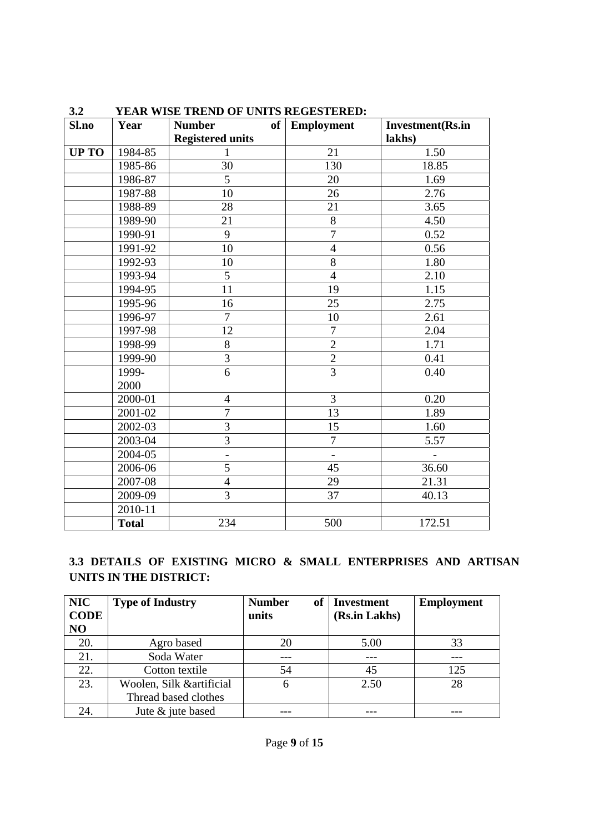| Sl.no        | Year         | <b>Number</b><br>$of \sqrt{2}$ | <b>Employment</b> | <b>Investment</b> (Rs.in |
|--------------|--------------|--------------------------------|-------------------|--------------------------|
|              |              | <b>Registered units</b>        |                   | lakhs)                   |
| <b>UP TO</b> | 1984-85      | 1                              | 21                | 1.50                     |
|              | 1985-86      | 30                             | 130               | 18.85                    |
|              | 1986-87      | 5                              | 20                | 1.69                     |
|              | 1987-88      | 10                             | 26                | 2.76                     |
|              | 1988-89      | 28                             | 21                | 3.65                     |
|              | 1989-90      | 21                             | 8                 | 4.50                     |
|              | 1990-91      | 9                              | $\overline{7}$    | 0.52                     |
|              | 1991-92      | 10                             | $\overline{4}$    | 0.56                     |
|              | 1992-93      | 10                             | 8                 | 1.80                     |
|              | 1993-94      | 5                              | $\overline{4}$    | 2.10                     |
|              | 1994-95      | 11                             | 19                | 1.15                     |
|              | 1995-96      | 16                             | 25                | 2.75                     |
|              | 1996-97      | $\boldsymbol{7}$               | 10                | 2.61                     |
|              | 1997-98      | 12                             | $\overline{7}$    | 2.04                     |
|              | 1998-99      | $8\,$                          | $\overline{2}$    | 1.71                     |
|              | 1999-90      | 3                              | $\overline{2}$    | 0.41                     |
|              | 1999-        | 6                              | $\overline{3}$    | 0.40                     |
|              | 2000         |                                |                   |                          |
|              | 2000-01      | $\overline{4}$                 | $\overline{3}$    | 0.20                     |
|              | 2001-02      | $\overline{7}$                 | 13                | 1.89                     |
|              | 2002-03      | 3                              | 15                | 1.60                     |
|              | 2003-04      | $\overline{3}$                 | $\overline{7}$    | 5.57                     |
|              | 2004-05      | $\blacksquare$                 |                   |                          |
|              | 2006-06      | 5                              | 45                | 36.60                    |
|              | 2007-08      | $\overline{4}$                 | 29                | 21.31                    |
|              | 2009-09      | 3                              | 37                | 40.13                    |
|              | 2010-11      |                                |                   |                          |
|              | <b>Total</b> | 234                            | 500               | 172.51                   |

# **3.2 YEAR WISE TREND OF UNITS REGESTERED:**

# **3.3 DETAILS OF EXISTING MICRO & SMALL ENTERPRISES AND ARTISAN UNITS IN THE DISTRICT:**

| <b>NIC</b>     | <b>Type of Industry</b>   | оf<br><b>Number</b> | <b>Investment</b> | <b>Employment</b> |
|----------------|---------------------------|---------------------|-------------------|-------------------|
| <b>CODE</b>    |                           | units               | (Rs.in Lakhs)     |                   |
| N <sub>O</sub> |                           |                     |                   |                   |
| 20.            | Agro based                | 20                  | 5.00              | 33                |
| 21.            | Soda Water                |                     |                   |                   |
| 22.            | Cotton textile            | 54                  | 45                | 125               |
| 23.            | Woolen, Silk & artificial | 6                   | 2.50              | 28                |
|                | Thread based clothes      |                     |                   |                   |
| 24.            | Jute & jute based         |                     |                   |                   |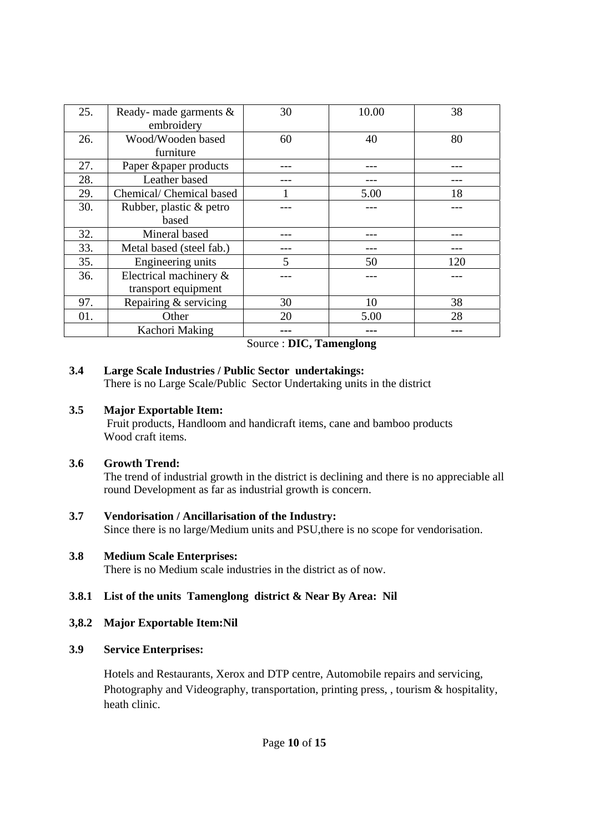| 25. | Ready- made garments $\&$ | 30 | 10.00 | 38  |
|-----|---------------------------|----|-------|-----|
|     | embroidery                |    |       |     |
| 26. | Wood/Wooden based         | 60 | 40    | 80  |
|     | furniture                 |    |       |     |
| 27. | Paper &paper products     |    |       |     |
| 28. | Leather based             |    |       |     |
| 29. | Chemical/Chemical based   |    | 5.00  | 18  |
| 30. | Rubber, plastic & petro   |    |       |     |
|     | based                     |    |       |     |
| 32. | Mineral based             |    |       |     |
| 33. | Metal based (steel fab.)  |    |       |     |
| 35. | Engineering units         | 5  | 50    | 120 |
| 36. | Electrical machinery &    |    |       |     |
|     | transport equipment       |    |       |     |
| 97. | Repairing & servicing     | 30 | 10    | 38  |
| 01. | Other                     | 20 | 5.00  | 28  |
|     | Kachori Making            |    |       |     |

Source : **DIC, Tamenglong**

#### **3.4 Large Scale Industries / Public Sector undertakings:**

There is no Large Scale/Public Sector Undertaking units in the district

#### **3.5 Major Exportable Item:**

 Fruit products, Handloom and handicraft items, cane and bamboo products Wood craft items.

# **3.6 Growth Trend:**

The trend of industrial growth in the district is declining and there is no appreciable all round Development as far as industrial growth is concern.

# **3.7 Vendorisation / Ancillarisation of the Industry:**

Since there is no large/Medium units and PSU,there is no scope for vendorisation.

# **3.8 Medium Scale Enterprises:**

There is no Medium scale industries in the district as of now.

# **3.8.1 List of the units Tamenglong district & Near By Area: Nil**

# **3,8.2 Major Exportable Item:Nil**

# **3.9 Service Enterprises:**

Hotels and Restaurants, Xerox and DTP centre, Automobile repairs and servicing, Photography and Videography, transportation, printing press, , tourism & hospitality, heath clinic.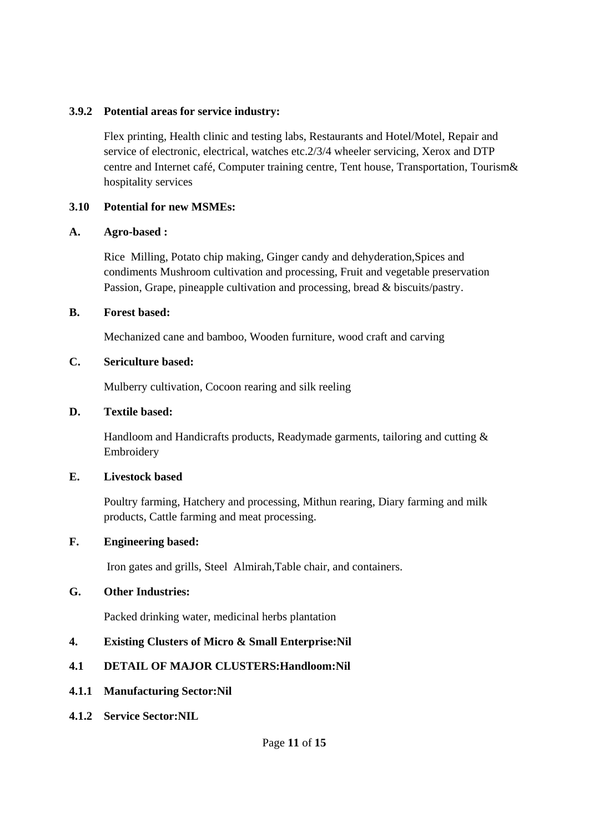#### **3.9.2 Potential areas for service industry:**

Flex printing, Health clinic and testing labs, Restaurants and Hotel/Motel, Repair and service of electronic, electrical, watches etc.2/3/4 wheeler servicing, Xerox and DTP centre and Internet café, Computer training centre, Tent house, Transportation, Tourism& hospitality services

#### **3.10 Potential for new MSMEs:**

#### **A. Agro-based :**

Rice Milling, Potato chip making, Ginger candy and dehyderation,Spices and condiments Mushroom cultivation and processing, Fruit and vegetable preservation Passion, Grape, pineapple cultivation and processing, bread & biscuits/pastry.

#### **B. Forest based:**

Mechanized cane and bamboo, Wooden furniture, wood craft and carving

#### **C. Sericulture based:**

Mulberry cultivation, Cocoon rearing and silk reeling

#### **D. Textile based:**

Handloom and Handicrafts products, Readymade garments, tailoring and cutting & Embroidery

#### **E. Livestock based**

Poultry farming, Hatchery and processing, Mithun rearing, Diary farming and milk products, Cattle farming and meat processing.

#### **F. Engineering based:**

Iron gates and grills, Steel Almirah,Table chair, and containers.

#### **G. Other Industries:**

Packed drinking water, medicinal herbs plantation

#### **4. Existing Clusters of Micro & Small Enterprise:Nil**

#### **4.1 DETAIL OF MAJOR CLUSTERS:Handloom:Nil**

- **4.1.1 Manufacturing Sector:Nil**
- **4.1.2 Service Sector:NIL**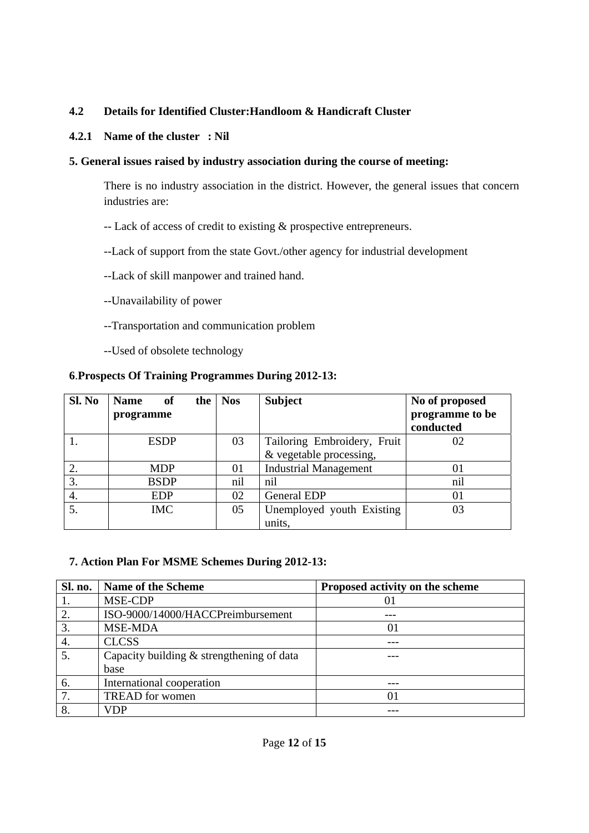# **4.2 Details for Identified Cluster:Handloom & Handicraft Cluster**

#### **4.2.1 Name of the cluster : Nil**

#### **5. General issues raised by industry association during the course of meeting:**

There is no industry association in the district. However, the general issues that concern industries are:

-- Lack of access of credit to existing & prospective entrepreneurs.

--Lack of support from the state Govt./other agency for industrial development

--Lack of skill manpower and trained hand.

- --Unavailability of power
- --Transportation and communication problem

--Used of obsolete technology

#### **6**.**Prospects Of Training Programmes During 2012-13:**

| Sl. No | <b>Name</b><br>of<br>programme | the   Nos | <b>Subject</b>               | No of proposed<br>programme to be<br>conducted |
|--------|--------------------------------|-----------|------------------------------|------------------------------------------------|
|        | <b>ESDP</b>                    | 03        | Tailoring Embroidery, Fruit  | 02                                             |
|        |                                |           | & vegetable processing,      |                                                |
|        | <b>MDP</b>                     | 01        | <b>Industrial Management</b> | 01                                             |
| 3.     | <b>BSDP</b>                    | nil       | nil                          | nil                                            |
| 4.     | <b>EDP</b>                     | 02        | <b>General EDP</b>           | 01                                             |
| 5.     | <b>IMC</b>                     | 05        | Unemployed youth Existing    | 03                                             |
|        |                                |           | units.                       |                                                |

#### **7. Action Plan For MSME Schemes During 2012-13:**

| Sl. no. | <b>Name of the Scheme</b>                   | Proposed activity on the scheme |
|---------|---------------------------------------------|---------------------------------|
|         | MSE-CDP                                     | 01                              |
|         | ISO-9000/14000/HACCPreimbursement           |                                 |
|         | <b>MSE-MDA</b>                              | 01                              |
| 4.      | <b>CLCSS</b>                                |                                 |
|         | Capacity building $&$ strengthening of data |                                 |
|         | base                                        |                                 |
| 6.      | International cooperation                   |                                 |
| 7.      | <b>TREAD</b> for women                      | 01                              |
|         | VDP                                         |                                 |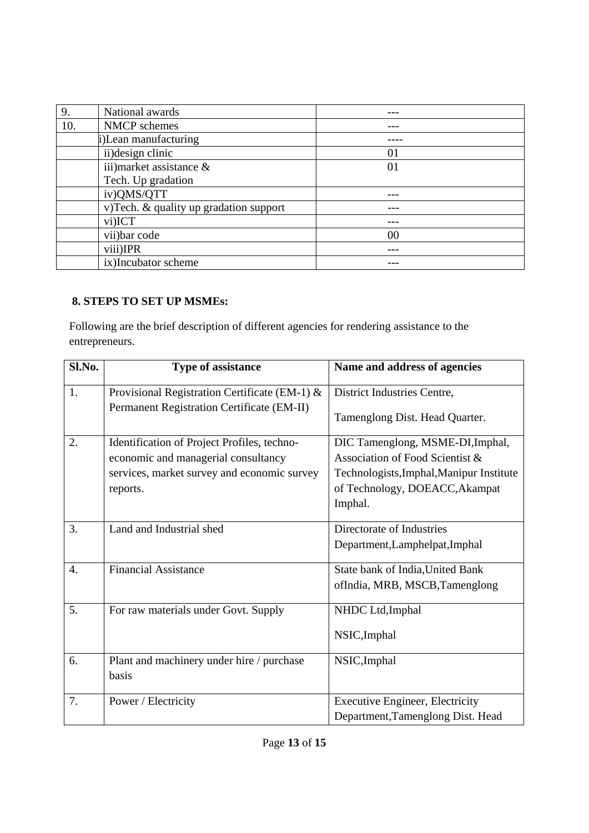| 9.  | National awards                        |    |
|-----|----------------------------------------|----|
| 10. | NMCP schemes                           |    |
|     | i)Lean manufacturing                   |    |
|     | ii) design clinic                      | 01 |
|     | iii) market assistance $\&$            | 01 |
|     | Tech. Up gradation                     |    |
|     | iv)QMS/QTT                             |    |
|     | v)Tech. & quality up gradation support |    |
|     | vi)ICT                                 |    |
|     | vii) bar code                          | 00 |
|     | viii)IPR                               |    |
|     | ix)Incubator scheme                    |    |

# **8. STEPS TO SET UP MSMEs:**

Following are the brief description of different agencies for rendering assistance to the entrepreneurs.

| Sl.No.           | <b>Type of assistance</b>                     | Name and address of agencies             |
|------------------|-----------------------------------------------|------------------------------------------|
| 1.               | Provisional Registration Certificate (EM-1) & | District Industries Centre,              |
|                  | Permanent Registration Certificate (EM-II)    | Tamenglong Dist. Head Quarter.           |
| 2.               | Identification of Project Profiles, techno-   | DIC Tamenglong, MSME-DI, Imphal,         |
|                  | economic and managerial consultancy           | Association of Food Scientist &          |
|                  | services, market survey and economic survey   | Technologists, Imphal, Manipur Institute |
|                  | reports.                                      | of Technology, DOEACC, Akampat           |
|                  |                                               | Imphal.                                  |
| 3.               | Land and Industrial shed                      | Directorate of Industries                |
|                  |                                               | Department, Lamphelpat, Imphal           |
| $\overline{4}$ . | <b>Financial Assistance</b>                   | State bank of India, United Bank         |
|                  |                                               | ofIndia, MRB, MSCB, Tamenglong           |
| 5.               | For raw materials under Govt. Supply          | NHDC Ltd, Imphal                         |
|                  |                                               | NSIC, Imphal                             |
| 6.               | Plant and machinery under hire / purchase     | NSIC, Imphal                             |
|                  | basis                                         |                                          |
| 7.               | Power / Electricity                           | <b>Executive Engineer, Electricity</b>   |
|                  |                                               | Department, Tamenglong Dist. Head        |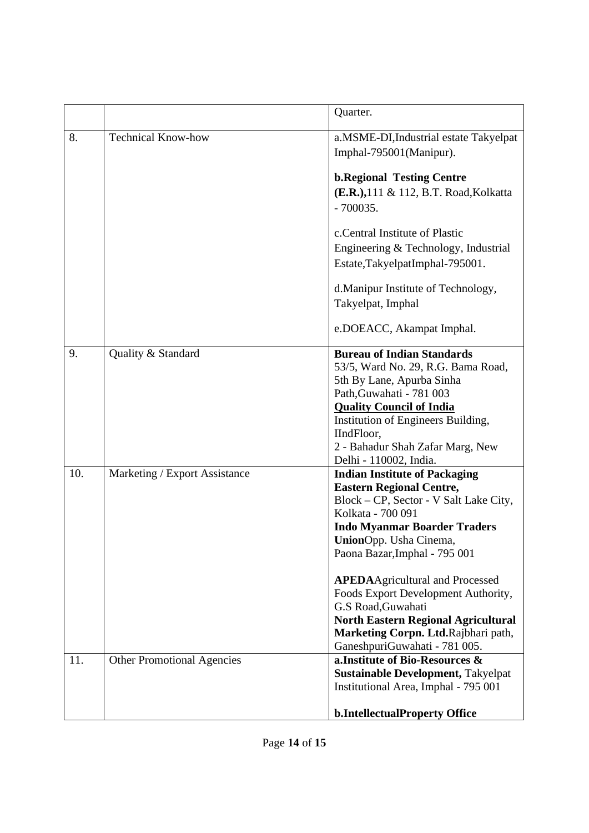|     |                                   | Quarter.                                                                                                                                                                                                                                                                                                                                                                                                                                                              |
|-----|-----------------------------------|-----------------------------------------------------------------------------------------------------------------------------------------------------------------------------------------------------------------------------------------------------------------------------------------------------------------------------------------------------------------------------------------------------------------------------------------------------------------------|
| 8.  | <b>Technical Know-how</b>         | a.MSME-DI, Industrial estate Takyelpat<br>Imphal-795001(Manipur).                                                                                                                                                                                                                                                                                                                                                                                                     |
|     |                                   | <b>b.Regional Testing Centre</b><br>(E.R.), 111 & 112, B.T. Road, Kolkatta<br>$-700035.$                                                                                                                                                                                                                                                                                                                                                                              |
|     |                                   | c.Central Institute of Plastic<br>Engineering & Technology, Industrial<br>Estate,TakyelpatImphal-795001.                                                                                                                                                                                                                                                                                                                                                              |
|     |                                   | d.Manipur Institute of Technology,<br>Takyelpat, Imphal                                                                                                                                                                                                                                                                                                                                                                                                               |
|     |                                   | e.DOEACC, Akampat Imphal.                                                                                                                                                                                                                                                                                                                                                                                                                                             |
| 9.  | Quality & Standard                | <b>Bureau of Indian Standards</b><br>53/5, Ward No. 29, R.G. Bama Road,<br>5th By Lane, Apurba Sinha<br>Path, Guwahati - 781 003<br><b>Quality Council of India</b><br>Institution of Engineers Building,<br>IIndFloor,<br>2 - Bahadur Shah Zafar Marg, New<br>Delhi - 110002, India.                                                                                                                                                                                 |
| 10. | Marketing / Export Assistance     | <b>Indian Institute of Packaging</b><br><b>Eastern Regional Centre,</b><br>Block – CP, Sector - V Salt Lake City,<br>Kolkata - 700 091<br><b>Indo Myanmar Boarder Traders</b><br>UnionOpp. Usha Cinema,<br>Paona Bazar, Imphal - 795 001<br><b>APEDAAgricultural and Processed</b><br>Foods Export Development Authority,<br>G.S Road, Guwahati<br><b>North Eastern Regional Agricultural</b><br>Marketing Corpn. Ltd.Rajbhari path,<br>GaneshpuriGuwahati - 781 005. |
| 11. | <b>Other Promotional Agencies</b> | a. Institute of Bio-Resources &<br><b>Sustainable Development, Takyelpat</b><br>Institutional Area, Imphal - 795 001<br><b>b.IntellectualProperty Office</b>                                                                                                                                                                                                                                                                                                          |